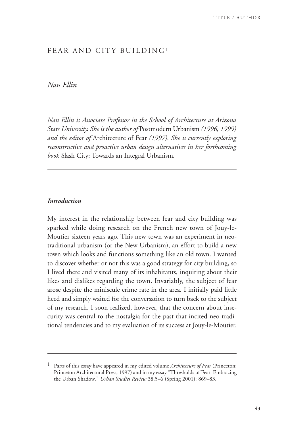# FEAR AND CITY BUILDING<sup>1</sup>

# *Nan Ellin*

*Nan Ellin is Associate Professor in the School of Architecture at Arizona State University. She is the author of* Postmodern Urbanism *(1996, 1999) and the editor of* Architecture of Fear *(1997). She is currently exploring reconstructive and proactive urban design alternatives in her forthcoming book* Slash City: Towards an Integral Urbanism*.* 

## *Introduction*

My interest in the relationship between fear and city building was sparked while doing research on the French new town of Jouy-le-Moutier sixteen years ago. This new town was an experiment in neotraditional urbanism (or the New Urbanism), an effort to build a new town which looks and functions something like an old town. I wanted to discover whether or not this was a good strategy for city building, so I lived there and visited many of its inhabitants, inquiring about their likes and dislikes regarding the town. Invariably, the subject of fear arose despite the miniscule crime rate in the area. I initially paid little heed and simply waited for the conversation to turn back to the subject of my research. I soon realized, however, that the concern about insecurity was central to the nostalgia for the past that incited neo-traditional tendencies and to my evaluation of its success at Jouy-le-Moutier.

<sup>1</sup> Parts of this essay have appeared in my edited volume *Architecture of Fear* (Princeton: Princeton Architectural Press, 1997) and in my essay "Thresholds of Fear: Embracing the Urban Shadow," *Urban Studies Review* 38.5–6 (Spring 2001): 869–83.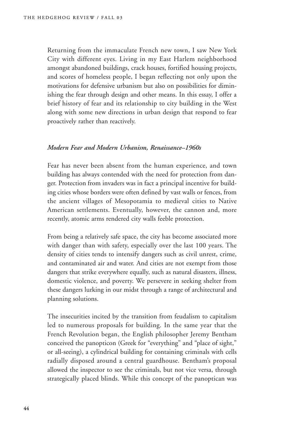Returning from the immaculate French new town, I saw New York City with different eyes. Living in my East Harlem neighborhood amongst abandoned buildings, crack houses, fortified housing projects, and scores of homeless people, I began reflecting not only upon the motivations for defensive urbanism but also on possibilities for diminishing the fear through design and other means. In this essay, I offer a brief history of fear and its relationship to city building in the West along with some new directions in urban design that respond to fear proactively rather than reactively.

## *Modern Fear and Modern Urbanism, Renaissance–1960s*

Fear has never been absent from the human experience, and town building has always contended with the need for protection from danger. Protection from invaders was in fact a principal incentive for building cities whose borders were often defined by vast walls or fences, from the ancient villages of Mesopotamia to medieval cities to Native American settlements. Eventually, however, the cannon and, more recently, atomic arms rendered city walls feeble protection.

From being a relatively safe space, the city has become associated more with danger than with safety, especially over the last 100 years. The density of cities tends to intensify dangers such as civil unrest, crime, and contaminated air and water. And cities are not exempt from those dangers that strike everywhere equally, such as natural disasters, illness, domestic violence, and poverty. We persevere in seeking shelter from these dangers lurking in our midst through a range of architectural and planning solutions.

The insecurities incited by the transition from feudalism to capitalism led to numerous proposals for building. In the same year that the French Revolution began, the English philosopher Jeremy Bentham conceived the panopticon (Greek for "everything" and "place of sight," or all-seeing), a cylindrical building for containing criminals with cells radially disposed around a central guardhouse. Bentham's proposal allowed the inspector to see the criminals, but not vice versa, through strategically placed blinds. While this concept of the panoptican was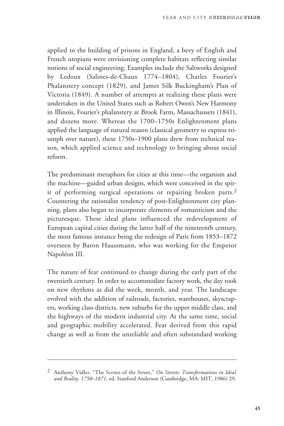applied to the building of prisons in England, a bevy of English and French utopians were envisioning complete habitats reflecting similar notions of social engineering. Examples include the Saltworks designed by Ledoux (Salines-de-Chaux 1774–1804), Charles Fourier's Phalanstery concept (1829), and James Silk Buckingham's Plan of Victoria (1849). A number of attempts at realizing these plans were undertaken in the United States such as Robert Owen's New Harmony in Illinois, Fourier's phalanstery at Brook Farm, Massachussets (1841), and dozens more. Whereas the 1700–1750s Enlightenment plans applied the language of natural reason (classical geometry to express triumph over nature), these 1750s–1900 plans drew from technical reason, which applied science and technology to bringing about social reform.

The predominant metaphors for cities at this time—the organism and the machine—guided urban designs, which were conceived in the spirit of performing surgical operations or repairing broken parts.2 Countering the rationalist tendency of post-Enlightenment city planning, plans also began to incorporate elements of romanticism and the picturesque. These ideal plans influenced the redevelopment of European capital cities during the latter half of the nineteenth century, the most famous instance being the redesign of Paris from 1853–1872 overseen by Baron Haussmann, who was working for the Emperor Napoléon III.

The nature of fear continued to change during the early part of the twentieth century. In order to accommodate factory work, the day took on new rhythms as did the week, month, and year. The landscape evolved with the addition of railroads, factories, warehouses, skyscrapers, working class districts, new suburbs for the upper middle class, and the highways of the modern industrial city. At the same time, social and geographic mobility accelerated. Fear derived from this rapid change as well as from the unreliable and often substandard working

<sup>2</sup> Anthony Vidler, "The Scenes of the Street," *On Streets: Transformations in Ideal and Reality, 1750–1871*, ed. Stanford Anderson (Cambridge, MA: MIT, 1986) 29.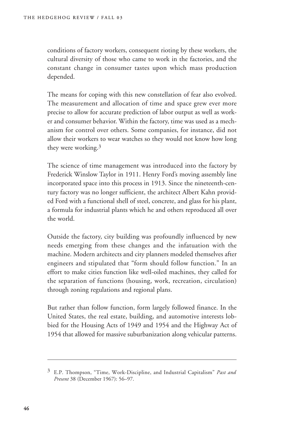conditions of factory workers, consequent rioting by these workers, the cultural diversity of those who came to work in the factories, and the constant change in consumer tastes upon which mass production depended.

The means for coping with this new constellation of fear also evolved. The measurement and allocation of time and space grew ever more precise to allow for accurate prediction of labor output as well as worker and consumer behavior. Within the factory, time was used as a mechanism for control over others. Some companies, for instance, did not allow their workers to wear watches so they would not know how long they were working.3

The science of time management was introduced into the factory by Frederick Winslow Taylor in 1911. Henry Ford's moving assembly line incorporated space into this process in 1913. Since the nineteenth-century factory was no longer sufficient, the architect Albert Kahn provided Ford with a functional shell of steel, concrete, and glass for his plant, a formula for industrial plants which he and others reproduced all over the world.

Outside the factory, city building was profoundly influenced by new needs emerging from these changes and the infatuation with the machine. Modern architects and city planners modeled themselves after engineers and stipulated that "form should follow function." In an effort to make cities function like well-oiled machines, they called for the separation of functions (housing, work, recreation, circulation) through zoning regulations and regional plans.

But rather than follow function, form largely followed finance. In the United States, the real estate, building, and automotive interests lobbied for the Housing Acts of 1949 and 1954 and the Highway Act of 1954 that allowed for massive suburbanization along vehicular patterns.

<sup>3</sup> E.P. Thompson, "Time, Work-Discipline, and Industrial Capitalism" *Past and Present* 38 (December 1967): 56–97.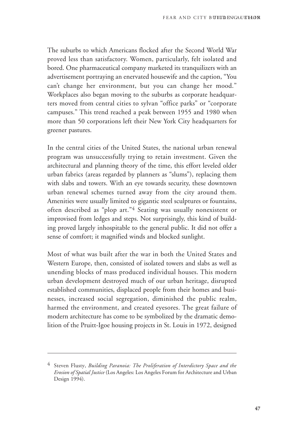The suburbs to which Americans flocked after the Second World War proved less than satisfactory. Women, particularly, felt isolated and bored. One pharmaceutical company marketed its tranquilizers with an advertisement portraying an enervated housewife and the caption, "You can't change her environment, but you can change her mood." Workplaces also began moving to the suburbs as corporate headquarters moved from central cities to sylvan "office parks" or "corporate campuses." This trend reached a peak between 1955 and 1980 when more than 50 corporations left their New York City headquarters for greener pastures.

In the central cities of the United States, the national urban renewal program was unsuccessfully trying to retain investment. Given the architectural and planning theory of the time, this effort leveled older urban fabrics (areas regarded by planners as "slums"), replacing them with slabs and towers. With an eye towards security, these downtown urban renewal schemes turned away from the city around them. Amenities were usually limited to gigantic steel sculptures or fountains, often described as "plop art."4 Seating was usually nonexistent or improvised from ledges and steps. Not surprisingly, this kind of building proved largely inhospitable to the general public. It did not offer a sense of comfort; it magnified winds and blocked sunlight.

Most of what was built after the war in both the United States and Western Europe, then, consisted of isolated towers and slabs as well as unending blocks of mass produced individual houses. This modern urban development destroyed much of our urban heritage, disrupted established communities, displaced people from their homes and businesses, increased social segregation, diminished the public realm, harmed the environment, and created eyesores. The great failure of modern architecture has come to be symbolized by the dramatic demolition of the Pruitt-Igoe housing projects in St. Louis in 1972, designed

<sup>4</sup> Steven Flusty, *Building Paranoia: The Proliferation of Interdictory Space and the Erosion of Spatial Justice* (Los Angeles: Los Angeles Forum for Architecture and Urban Design 1994).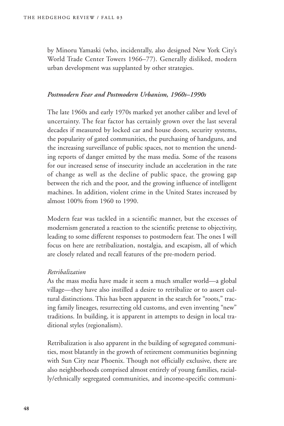by Minoru Yamaski (who, incidentally, also designed New York City's World Trade Center Towers 1966–77). Generally disliked, modern urban development was supplanted by other strategies.

### *Postmodern Fear and Postmodern Urbanism, 1960s–1990s*

The late 1960s and early 1970s marked yet another caliber and level of uncertainty. The fear factor has certainly grown over the last several decades if measured by locked car and house doors, security systems, the popularity of gated communities, the purchasing of handguns, and the increasing surveillance of public spaces, not to mention the unending reports of danger emitted by the mass media. Some of the reasons for our increased sense of insecurity include an acceleration in the rate of change as well as the decline of public space, the growing gap between the rich and the poor, and the growing influence of intelligent machines. In addition, violent crime in the United States increased by almost 100% from 1960 to 1990.

Modern fear was tackled in a scientific manner, but the excesses of modernism generated a reaction to the scientific pretense to objectivity, leading to some different responses to postmodern fear. The ones I will focus on here are retribalization, nostalgia, and escapism, all of which are closely related and recall features of the pre-modern period.

#### *Retribalization*

As the mass media have made it seem a much smaller world—a global village—they have also instilled a desire to retribalize or to assert cultural distinctions. This has been apparent in the search for "roots," tracing family lineages, resurrecting old customs, and even inventing "new" traditions. In building, it is apparent in attempts to design in local traditional styles (regionalism).

Retribalization is also apparent in the building of segregated communities, most blatantly in the growth of retirement communities beginning with Sun City near Phoenix. Though not officially exclusive, there are also neighborhoods comprised almost entirely of young families, racially/ethnically segregated communities, and income-specific communi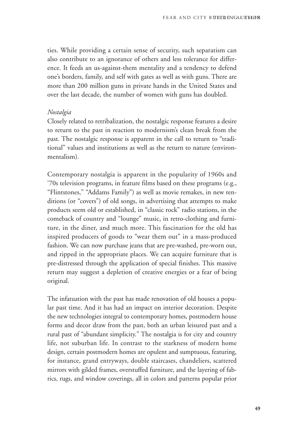ties. While providing a certain sense of security, such separatism can also contribute to an ignorance of others and less tolerance for difference. It feeds an us-against-them mentality and a tendency to defend one's borders, family, and self with gates as well as with guns. There are more than 200 million guns in private hands in the United States and over the last decade, the number of women with guns has doubled.

#### *Nostalgia*

Closely related to retribalization, the nostalgic response features a desire to return to the past in reaction to modernism's clean break from the past. The nostalgic response is apparent in the call to return to "traditional" values and institutions as well as the return to nature (environmentalism).

Contemporary nostalgia is apparent in the popularity of 1960s and '70s television programs, in feature films based on these programs (e.g., "Flintstones," "Addams Family") as well as movie remakes, in new renditions (or "covers") of old songs, in advertising that attempts to make products seem old or established, in "classic rock" radio stations, in the comeback of country and "lounge" music, in retro-clothing and furniture, in the diner, and much more. This fascination for the old has inspired producers of goods to "wear them out" in a mass-produced fashion. We can now purchase jeans that are pre-washed, pre-worn out, and ripped in the appropriate places. We can acquire furniture that is pre-distressed through the application of special finishes. This massive return may suggest a depletion of creative energies or a fear of being original.

The infatuation with the past has made renovation of old houses a popular past time. And it has had an impact on interior decoration. Despite the new technologies integral to contemporary homes, postmodern house forms and decor draw from the past, both an urban leisured past and a rural past of "abundant simplicity." The nostalgia is for city and country life, not suburban life. In contrast to the starkness of modern home design, certain postmodern homes are opulent and sumptuous, featuring, for instance, grand entryways, double staircases, chandeliers, scattered mirrors with gilded frames, overstuffed furniture, and the layering of fabrics, rugs, and window coverings, all in colors and patterns popular prior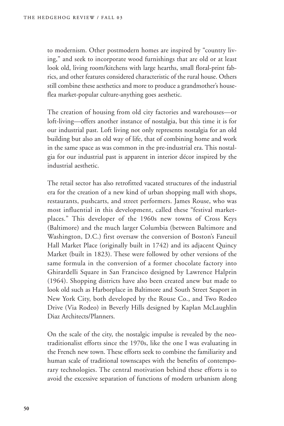to modernism. Other postmodern homes are inspired by "country living," and seek to incorporate wood furnishings that are old or at least look old, living room/kitchens with large hearths, small floral-print fabrics, and other features considered characteristic of the rural house. Others still combine these aesthetics and more to produce a grandmother's houseflea market-popular culture-anything goes aesthetic.

The creation of housing from old city factories and warehouses—or loft-living—offers another instance of nostalgia, but this time it is for our industrial past. Loft living not only represents nostalgia for an old building but also an old way of life, that of combining home and work in the same space as was common in the pre-industrial era. This nostalgia for our industrial past is apparent in interior décor inspired by the industrial aesthetic.

The retail sector has also retrofitted vacated structures of the industrial era for the creation of a new kind of urban shopping mall with shops, restaurants, pushcarts, and street performers. James Rouse, who was most influential in this development, called these "festival marketplaces." This developer of the 1960s new towns of Cross Keys (Baltimore) and the much larger Columbia (between Baltimore and Washington, D.C.) first oversaw the conversion of Boston's Faneuil Hall Market Place (originally built in 1742) and its adjacent Quincy Market (built in 1823). These were followed by other versions of the same formula in the conversion of a former chocolate factory into Ghirardelli Square in San Francisco designed by Lawrence Halprin (1964). Shopping districts have also been created anew but made to look old such as Harborplace in Baltimore and South Street Seaport in New York City, both developed by the Rouse Co., and Two Rodeo Drive (Via Rodeo) in Beverly Hills designed by Kaplan McLaughlin Diaz Architects/Planners.

On the scale of the city, the nostalgic impulse is revealed by the neotraditionalist efforts since the 1970s, like the one I was evaluating in the French new town. These efforts seek to combine the familiarity and human scale of traditional townscapes with the benefits of contemporary technologies. The central motivation behind these efforts is to avoid the excessive separation of functions of modern urbanism along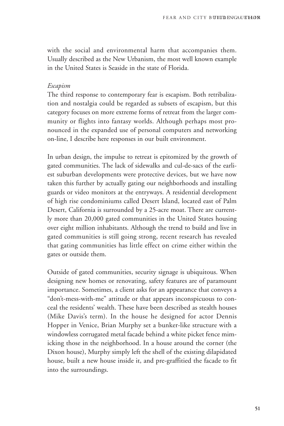with the social and environmental harm that accompanies them. Usually described as the New Urbanism, the most well known example in the United States is Seaside in the state of Florida.

#### *Escapism*

The third response to contemporary fear is escapism. Both retribalization and nostalgia could be regarded as subsets of escapism, but this category focuses on more extreme forms of retreat from the larger community or flights into fantasy worlds. Although perhaps most pronounced in the expanded use of personal computers and networking on-line, I describe here responses in our built environment.

In urban design, the impulse to retreat is epitomized by the growth of gated communities. The lack of sidewalks and cul-de-sacs of the earliest suburban developments were protective devices, but we have now taken this further by actually gating our neighborhoods and installing guards or video monitors at the entryways. A residential development of high rise condominiums called Desert Island, located east of Palm Desert, California is surrounded by a 25-acre moat. There are currently more than 20,000 gated communities in the United States housing over eight million inhabitants. Although the trend to build and live in gated communities is still going strong, recent research has revealed that gating communities has little effect on crime either within the gates or outside them.

Outside of gated communities, security signage is ubiquitous. When designing new homes or renovating, safety features are of paramount importance. Sometimes, a client asks for an appearance that conveys a "don't-mess-with-me" attitude or that appears inconspicuous to conceal the residents' wealth. These have been described as stealth houses (Mike Davis's term). In the house he designed for actor Dennis Hopper in Venice, Brian Murphy set a bunker-like structure with a windowless corrugated metal facade behind a white picket fence mimicking those in the neighborhood. In a house around the corner (the Dixon house), Murphy simply left the shell of the existing dilapidated house, built a new house inside it, and pre-graffitied the facade to fit into the surroundings.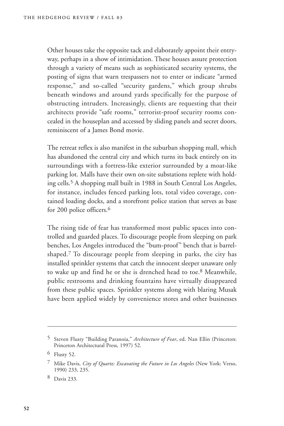Other houses take the opposite tack and elaborately appoint their entryway, perhaps in a show of intimidation. These houses assure protection through a variety of means such as sophisticated security systems, the posting of signs that warn trespassers not to enter or indicate "armed response," and so-called "security gardens," which group shrubs beneath windows and around yards specifically for the purpose of obstructing intruders. Increasingly, clients are requesting that their architects provide "safe rooms," terrorist-proof security rooms concealed in the houseplan and accessed by sliding panels and secret doors, reminiscent of a James Bond movie.

The retreat reflex is also manifest in the suburban shopping mall, which has abandoned the central city and which turns its back entirely on its surroundings with a fortress-like exterior surrounded by a moat-like parking lot. Malls have their own on-site substations replete with holding cells.5 A shopping mall built in 1988 in South Central Los Angeles, for instance, includes fenced parking lots, total video coverage, contained loading docks, and a storefront police station that serves as base for 200 police officers.6

The rising tide of fear has transformed most public spaces into controlled and guarded places. To discourage people from sleeping on park benches, Los Angeles introduced the "bum-proof" bench that is barrelshaped.7 To discourage people from sleeping in parks, the city has installed sprinkler systems that catch the innocent sleeper unaware only to wake up and find he or she is drenched head to toe.8 Meanwhile, public restrooms and drinking fountains have virtually disappeared from these public spaces. Sprinkler systems along with blaring Musak have been applied widely by convenience stores and other businesses

<sup>5</sup> Steven Flusty "Building Paranoia," *Architecture of Fear*, ed. Nan Ellin (Princeton: Princeton Architectural Press, 1997) 52.

<sup>6</sup> Flusty 52.

<sup>7</sup> Mike Davis, *City of Quartz: Excavating the Future in Los Angeles* (New York: Verso, 1990) 233, 235.

<sup>8</sup> Davis 233.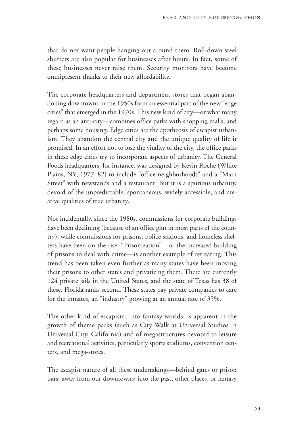that do not want people hanging out around them. Roll-down steel shutters are also popular for businesses after hours. In fact, some of these businesses never raise them. Security monitors have become omnipresent thanks to their new affordability.

The corporate headquarters and department stores that began abandoning downtowns in the 1950s form an essential part of the new "edge cities" that emerged in the 1970s. This new kind of city—or what many regard as an anti-city—combines office parks with shopping malls, and perhaps some housing. Edge cities are the apotheosis of escapist urbanism. They abandon the central city and the unique quality of life it promised. In an effort not to lose the vitality of the city, the office parks in these edge cities try to incorporate aspects of urbanity. The General Foods headquarters, for instance, was designed by Kevin Roche (White Plains, NY; 1977–82) to include "office neighborhoods" and a "Main Street" with newstands and a restaurant. But it is a spurious urbanity, devoid of the unpredictable, spontaneous, widely accessible, and creative qualities of true urbanity.

Not incidentally, since the 1980s, commissions for corporate buildings have been declining (because of an office glut in most parts of the country), while commissions for prisons, police stations, and homeless shelters have been on the rise. "Prisonization"—or the increased building of prisons to deal with crime—is another example of retreating. This trend has been taken even further as many states have been moving their prisons to other states and privatizing them. There are currently 124 private jails in the United States, and the state of Texas has 38 of these. Florida ranks second. These states pay private companies to care for the inmates, an "industry" growing at an annual rate of 35%.

The other kind of escapism, into fantasy worlds, is apparent in the growth of theme parks (such as City Walk at Universal Studios in Universal City, California) and of megastructures devoted to leisure and recreational activities, particularly sports stadiums, convention centers, and mega-stores.

The escapist nature of all these undertakings—behind gates or prison bars; away from our downtowns; into the past, other places, or fantasy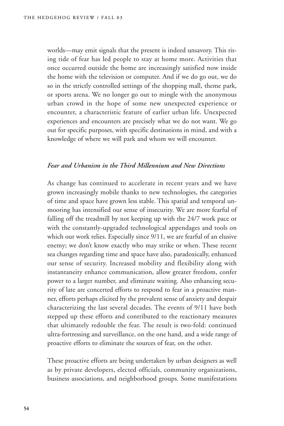worlds—may emit signals that the present is indeed unsavory. This rising tide of fear has led people to stay at home more. Activities that once occurred outside the home are increasingly satisfied now inside the home with the television or computer. And if we do go out, we do so in the strictly controlled settings of the shopping mall, theme park, or sports arena. We no longer go out to mingle with the anonymous urban crowd in the hope of some new unexpected experience or encounter, a characteristic feature of earlier urban life. Unexpected experiences and encounters are precisely what we do not want. We go out for specific purposes, with specific destinations in mind, and with a knowledge of where we will park and whom we will encounter.

### *Fear and Urbanism in the Third Millennium and New Directions*

As change has continued to accelerate in recent years and we have grown increasingly mobile thanks to new technologies, the categories of time and space have grown less stable. This spatial and temporal unmooring has intensified our sense of insecurity. We are more fearful of falling off the treadmill by not keeping up with the 24/7 work pace or with the constantly-upgraded technological appendages and tools on which our work relies. Especially since  $9/11$ , we are fearful of an elusive enemy; we don't know exactly who may strike or when. These recent sea changes regarding time and space have also, paradoxically, enhanced our sense of security. Increased mobility and flexibility along with instantaneity enhance communication, allow greater freedom, confer power to a larger number, and eliminate waiting. Also enhancing security of late are concerted efforts to respond to fear in a proactive manner, efforts perhaps elicited by the prevalent sense of anxiety and despair characterizing the last several decades. The events of 9/11 have both stepped up these efforts and contributed to the reactionary measures that ultimately redouble the fear. The result is two-fold: continued ultra-fortressing and surveillance, on the one hand, and a wide range of proactive efforts to eliminate the sources of fear, on the other.

These proactive efforts are being undertaken by urban designers as well as by private developers, elected officials, community organizations, business associations, and neighborhood groups. Some manifestations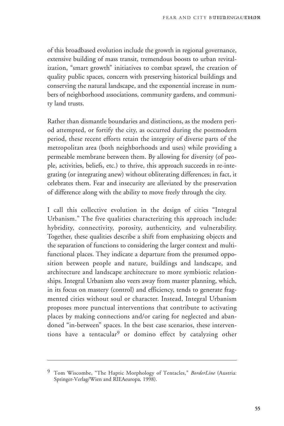of this broadbased evolution include the growth in regional governance, extensive building of mass transit, tremendous boosts to urban revitalization, "smart growth" initiatives to combat sprawl, the creation of quality public spaces, concern with preserving historical buildings and conserving the natural landscape, and the exponential increase in numbers of neighborhood associations, community gardens, and community land trusts.

Rather than dismantle boundaries and distinctions, as the modern period attempted, or fortify the city, as occurred during the postmodern period, these recent efforts retain the integrity of diverse parts of the metropolitan area (both neighborhoods and uses) while providing a permeable membrane between them. By allowing for diversity (of people, activities, beliefs, etc.) to thrive, this approach succeeds in re-integrating (or integrating anew) without obliterating differences; in fact, it celebrates them. Fear and insecurity are alleviated by the preservation of difference along with the ability to move freely through the city.

I call this collective evolution in the design of cities "Integral Urbanism." The five qualities characterizing this approach include: hybridity, connectivity, porosity, authenticity, and vulnerability. Together, these qualities describe a shift from emphasizing objects and the separation of functions to considering the larger context and multifunctional places. They indicate a departure from the presumed opposition between people and nature, buildings and landscape, and architecture and landscape architecture to more symbiotic relationships. Integral Urbanism also veers away from master planning, which, in its focus on mastery (control) and efficiency, tends to generate fragmented cities without soul or character. Instead, Integral Urbanism proposes more punctual interventions that contribute to activating places by making connections and/or caring for neglected and abandoned "in-between" spaces. In the best case scenarios, these interventions have a tentacular9 or domino effect by catalyzing other

<sup>9</sup> Tom Wiscombe, "The Haptic Morphology of Tentacles," *BorderLine* (Austria: Springer-Verlag/Wien and RIEAeuropa, 1998).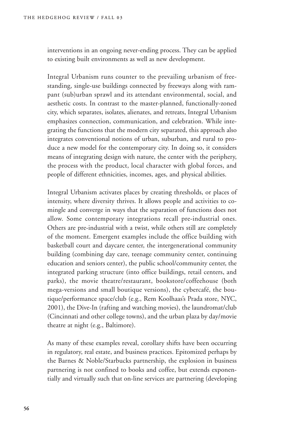interventions in an ongoing never-ending process. They can be applied to existing built environments as well as new development.

Integral Urbanism runs counter to the prevailing urbanism of freestanding, single-use buildings connected by freeways along with rampant (sub)urban sprawl and its attendant environmental, social, and aesthetic costs. In contrast to the master-planned, functionally-zoned city, which separates, isolates, alienates, and retreats, Integral Urbanism emphasizes connection, communication, and celebration. While integrating the functions that the modern city separated, this approach also integrates conventional notions of urban, suburban, and rural to produce a new model for the contemporary city. In doing so, it considers means of integrating design with nature, the center with the periphery, the process with the product, local character with global forces, and people of different ethnicities, incomes, ages, and physical abilities.

Integral Urbanism activates places by creating thresholds, or places of intensity, where diversity thrives. It allows people and activities to comingle and converge in ways that the separation of functions does not allow. Some contemporary integrations recall pre-industrial ones. Others are pre-industrial with a twist, while others still are completely of the moment. Emergent examples include the office building with basketball court and daycare center, the intergenerational community building (combining day care, teenage community center, continuing education and seniors center), the public school/community center, the integrated parking structure (into office buildings, retail centers, and parks), the movie theatre/restaurant, bookstore/coffeehouse (both mega-versions and small boutique versions), the cybercafé, the boutique/performance space/club (e.g., Rem Koolhaas's Prada store, NYC, 2001), the Dive-In (rafting and watching movies), the laundromat/club (Cincinnati and other college towns), and the urban plaza by day/movie theatre at night (e.g., Baltimore).

As many of these examples reveal, corollary shifts have been occurring in regulatory, real estate, and business practices. Epitomized perhaps by the Barnes & Noble/Starbucks partnership, the explosion in business partnering is not confined to books and coffee, but extends exponentially and virtually such that on-line services are partnering (developing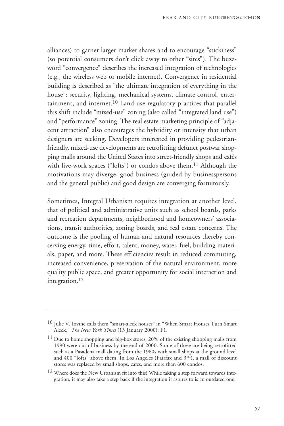alliances) to garner larger market shares and to encourage "stickiness" (so potential consumers don't click away to other "sites"). The buzzword "convergence" describes the increased integration of technologies (e.g., the wireless web or mobile internet). Convergence in residential building is described as "the ultimate integration of everything in the house": security, lighting, mechanical systems, climate control, entertainment, and internet.<sup>10</sup> Land-use regulatory practices that parallel this shift include "mixed-use" zoning (also called "integrated land use") and "performance" zoning. The real estate marketing principle of "adjacent attraction" also encourages the hybridity or intensity that urban designers are seeking. Developers interested in providing pedestrianfriendly, mixed-use developments are retrofitting defunct postwar shopping malls around the United States into street-friendly shops and cafés with live-work spaces ("lofts") or condos above them.<sup>11</sup> Although the motivations may diverge, good business (guided by businesspersons and the general public) and good design are converging fortuitously.

Sometimes, Integral Urbanism requires integration at another level, that of political and administrative units such as school boards, parks and recreation departments, neighborhood and homeowners' associations, transit authorities, zoning boards, and real estate concerns. The outcome is the pooling of human and natural resources thereby conserving energy, time, effort, talent, money, water, fuel, building materials, paper, and more. These efficiencies result in reduced commuting, increased convenience, preservation of the natural environment, more quality public space, and greater opportunity for social interaction and integration.12

<sup>10</sup> Julie V. Iovine calls them "smart-aleck houses" in "When Smart Houses Turn Smart Aleck," *The New York Times* (13 January 2000): F1.

<sup>&</sup>lt;sup>11</sup> Due to home shopping and big-box stores, 20% of the existing shopping malls from 1990 were out of business by the end of 2000. Some of these are being retrofitted such as a Pasadena mall dating from the 1960s with small shops at the ground level and 400 "lofts" above them. In Los Angeles (Fairfax and 3rd), a mall of discount stores was replaced by small shops, cafes, and more than 600 condos.

<sup>12</sup> Where does the New Urbanism fit into this? While taking a step forward towards integration, it may also take a step back if the integration it aspires to is an outdated one.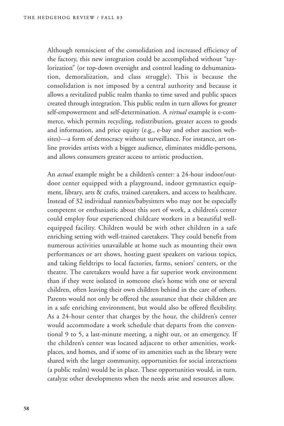Although remniscient of the consolidation and increased efficiency of the factory, this new integration could be accomplished without "taylorization" (or top-down oversight and control leading to dehumanization, demoralization, and class struggle). This is because the consolidation is not imposed by a central authority and because it allows a revitalized public realm thanks to time saved and public spaces created through integration. This public realm in turn allows for greater self-empowerment and self-determination. A *virtual* example is e-commerce, which permits recycling, redistribution, greater access to goods and information, and price equity (e.g., e-bay and other auction websites)—a form of democracy without surveillance. For instance, art online provides artists with a bigger audience, eliminates middle-persons, and allows consumers greater access to artistic production.

An *actual* example might be a children's center: a 24-hour indoor/outdoor center equipped with a playground, indoor gymnastics equipment, library, arts & crafts, trained caretakers, and access to healthcare. Instead of 32 individual nannies/babysitters who may not be especially competent or enthusiastic about this sort of work, a children's center could employ four experienced childcare workers in a beautiful wellequipped facility. Children would be with other children in a safe enriching setting with well-trained caretakers. They could benefit from numerous activities unavailable at home such as mounting their own performances or art shows, hosting guest speakers on various topics, and taking fieldtrips to local factories, farms, seniors' centers, or the theatre. The caretakers would have a far superior work environment than if they were isolated in someone else's home with one or several children, often leaving their own children behind in the care of others. Parents would not only be offered the assurance that their children are in a safe enriching environment, but would also be offered flexibility. As a 24-hour center that charges by the hour, the children's center would accommodate a work schedule that departs from the conventional 9 to 5, a last-minute meeting, a night out, or an emergency. If the children's center was located adjacent to other amenities, workplaces, and homes, and if some of its amenities such as the library were shared with the larger community, opportunities for social interactions (a public realm) would be in place. These opportunities would, in turn, catalyze other developments when the needs arise and resources allow.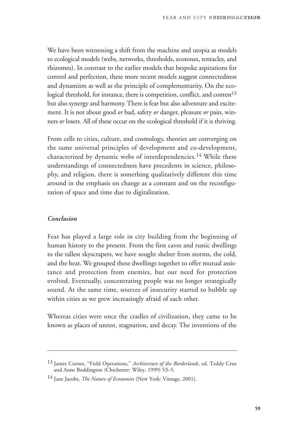We have been witnessing a shift from the machine and utopia as models to ecological models (webs, networks, thresholds, ecotones, tentacles, and rhizomes). In contrast to the earlier models that bespoke aspirations for control and perfection, these more recent models suggest connectedness and dynamism as well as the principle of complementarity. On the ecological threshold, for instance, there is competition, conflict, and contest<sup>13</sup> but also synergy and harmony. There is fear but also adventure and excitement. It is not about good *or* bad, safety *or* danger, pleasure *or* pain, winners *or* losers. All of these occur on the ecological threshold if it is thriving.

From cells to cities, culture, and cosmology, theories are converging on the same universal principles of development and co-development, characterized by dynamic webs of interdependencies.14 While these understandings of connectedness have precedents in science, philosophy, and religion, there is something qualitatively different this time around in the emphasis on change as a constant and on the reconfiguration of space and time due to digitalization.

#### *Conclusion*

Fear has played a large role in city building from the beginning of human history to the present. From the first caves and rustic dwellings to the tallest skyscrapers, we have sought shelter from storms, the cold, and the heat. We grouped these dwellings together to offer mutual assistance and protection from enemies, but our need for protection evolved. Eventually, concentrating people was no longer strategically sound. At the same time, sources of insecurity started to bubble up within cities as we grew increasingly afraid of each other.

Whereas cities were once the cradles of civilization, they came to be known as places of unrest, stagnation, and decay. The inventions of the

<sup>13</sup> James Corner, "Field Operations," *Architecture of the Borderlands*, ed. Teddy Cruz and Anne Boddington (Chichester: Wiley, 1999) 53–5.

<sup>14</sup> Jane Jacobs, *The Nature of Economies* (New York: Vintage, 2001).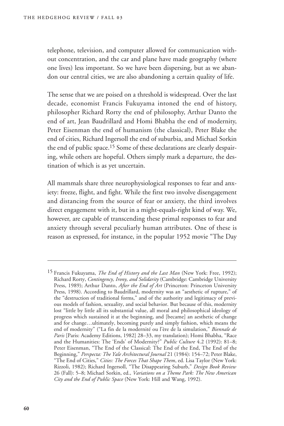telephone, television, and computer allowed for communication without concentration, and the car and plane have made geography (where one lives) less important. So we have been dispersing, but as we abandon our central cities, we are also abandoning a certain quality of life.

The sense that we are poised on a threshold is widespread. Over the last decade, economist Francis Fukuyama intoned the end of history, philosopher Richard Rorty the end of philosophy, Arthur Danto the end of art, Jean Baudrillard and Homi Bhabha the end of modernity, Peter Eisenman the end of humanism (the classical), Peter Blake the end of cities, Richard Ingersoll the end of suburbia, and Michael Sorkin the end of public space.15 Some of these declarations are clearly despairing, while others are hopeful. Others simply mark a departure, the destination of which is as yet uncertain.

All mammals share three neurophysiological responses to fear and anxiety: freeze, flight, and fight. While the first two involve disengagement and distancing from the source of fear or anxiety, the third involves direct engagement with it, but in a might-equals-right kind of way. We, however, are capable of transcending these primal responses to fear and anxiety through several peculiarly human attributes. One of these is reason as expressed, for instance, in the popular 1952 movie "The Day

<sup>15</sup> Francis Fukuyama, *The End of History and the Last Man* (New York: Free, 1992); Richard Rorty, *Contingency, Irony, and Solidarity* (Cambridge: Cambridge University Press, 1989); Arthur Danto, *After the End of Art* (Princeton: Princeton University Press, 1998). According to Baudrillard, modernity was an "aesthetic of rupture," of the "destruction of traditional forms," and of the authority and legitimacy of previous models of fashion, sexuality, and social behavior. But because of this, modernity lost "little by little all its substantial value, all moral and philosophical ideology of progress which sustained it at the beginning, and [became] an aesthetic of change and for change…ultimately, becoming purely and simply fashion, which means the end of modernity" ("La fin de la modernité ou l'ère de la simulation," *Biennale de Paris* [Paris: Academy Editions, 1982] 28–33, my translation); Homi Bhabha, "Race and the Humanities: The 'Ends' of Modernity?" *Public Culture* 4.2 (1992): 81–8; Peter Eisenman, "The End of the Classical: The End of the End, The End of the Beginning," *Perspecta: The Yale Architectural Journal* 21 (1984): 154–72; Peter Blake, "The End of Cities," *Cities: The Forces That Shape Them*, ed. Lisa Taylor (New York: Rizzoli, 1982); Richard Ingersoll, "The Disappearing Suburb," *Design Book Review* 26 (Fall): 5–8; Michael Sorkin, ed., *Variations on a Theme Park: The New American City and the End of Public Space* (New York: Hill and Wang, 1992).